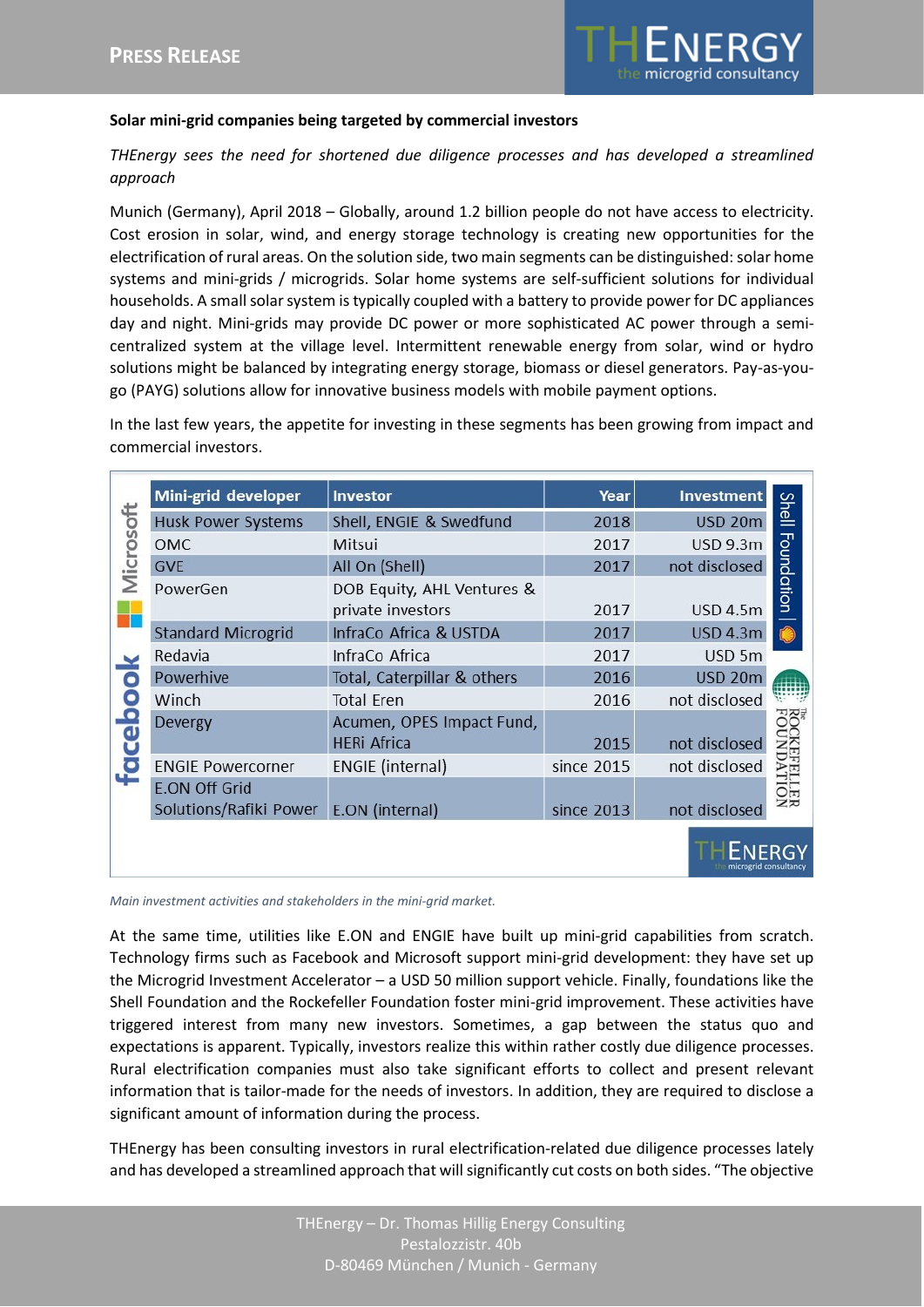

## **Solar mini-grid companies being targeted by commercial investors**

*THEnergy sees the need for shortened due diligence processes and has developed a streamlined approach*

Munich (Germany), April 2018 – Globally, around 1.2 billion people do not have access to electricity. Cost erosion in solar, wind, and energy storage technology is creating new opportunities for the electrification of rural areas. On the solution side, two main segments can be distinguished: solar home systems and mini-grids / microgrids. Solar home systems are self-sufficient solutions for individual households. A small solar system is typically coupled with a battery to provide power for DC appliances day and night. Mini-grids may provide DC power or more sophisticated AC power through a semicentralized system at the village level. Intermittent renewable energy from solar, wind or hydro solutions might be balanced by integrating energy storage, biomass or diesel generators. Pay-as-yougo (PAYG) solutions allow for innovative business models with mobile payment options.

In the last few years, the appetite for investing in these segments has been growing from impact and commercial investors.

| Microsoft<br>c<br>ceb | Mini-grid developer                                            | Investor                                        | Year       | <b>Investment</b> |                            |
|-----------------------|----------------------------------------------------------------|-------------------------------------------------|------------|-------------------|----------------------------|
|                       | <b>Husk Power Systems</b>                                      | Shell, ENGIE & Swedfund                         | 2018       | <b>USD 20m</b>    | <b>Shell</b><br>Foundation |
|                       | <b>OMC</b>                                                     | Mitsui                                          | 2017       | <b>USD 9.3m</b>   |                            |
|                       | <b>GVE</b>                                                     | All On (Shell)                                  | 2017       | not disclosed     |                            |
|                       | PowerGen                                                       | DOB Equity, AHL Ventures &<br>private investors | 2017       | <b>USD 4.5m</b>   |                            |
|                       | <b>Standard Microgrid</b>                                      | InfraCo Africa & USTDA                          | 2017       | <b>USD 4.3m</b>   |                            |
|                       | Redavia                                                        | InfraCo Africa                                  | 2017       | USD 5m            |                            |
|                       | Powerhive                                                      | Total, Caterpillar & others                     | 2016       | USD 20m           |                            |
|                       | Winch                                                          | <b>Total Eren</b>                               | 2016       | not disclosed     |                            |
|                       | Devergy                                                        | Acumen, OPES Impact Fund,<br><b>HERi Africa</b> | 2015       | not disclosed     |                            |
|                       | <b>ENGIE Powercorner</b>                                       | ENGIE (internal)                                | since 2015 | not disclosed     |                            |
|                       | <b>E.ON Off Grid</b><br>Solutions/Rafiki Power E.ON (internal) |                                                 | since 2013 | not disclosed     | z                          |
|                       |                                                                |                                                 |            |                   |                            |

*Main investment activities and stakeholders in the mini-grid market.*

At the same time, utilities like E.ON and ENGIE have built up mini-grid capabilities from scratch. Technology firms such as Facebook and Microsoft support mini-grid development: they have set up the Microgrid Investment Accelerator – a USD 50 million support vehicle. Finally, foundations like the Shell Foundation and the Rockefeller Foundation foster mini-grid improvement. These activities have triggered interest from many new investors. Sometimes, a gap between the status quo and expectations is apparent. Typically, investors realize this within rather costly due diligence processes. Rural electrification companies must also take significant efforts to collect and present relevant information that is tailor-made for the needs of investors. In addition, they are required to disclose a significant amount of information during the process.

THEnergy has been consulting investors in rural electrification-related due diligence processes lately and has developed a streamlined approach that will significantly cut costs on both sides. "The objective